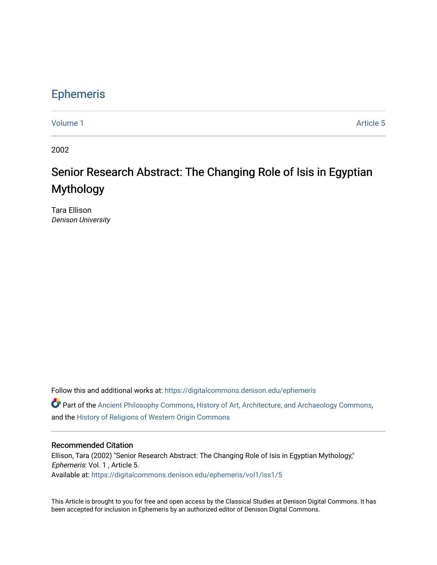## [Ephemeris](https://digitalcommons.denison.edu/ephemeris)

[Volume 1](https://digitalcommons.denison.edu/ephemeris/vol1) Article 5

2002

## Senior Research Abstract: The Changing Role of Isis in Egyptian Mythology

Tara Ellison Denison University

Follow this and additional works at: [https://digitalcommons.denison.edu/ephemeris](https://digitalcommons.denison.edu/ephemeris?utm_source=digitalcommons.denison.edu%2Fephemeris%2Fvol1%2Fiss1%2F5&utm_medium=PDF&utm_campaign=PDFCoverPages) 

Part of the [Ancient Philosophy Commons](http://network.bepress.com/hgg/discipline/448?utm_source=digitalcommons.denison.edu%2Fephemeris%2Fvol1%2Fiss1%2F5&utm_medium=PDF&utm_campaign=PDFCoverPages), [History of Art, Architecture, and Archaeology Commons](http://network.bepress.com/hgg/discipline/510?utm_source=digitalcommons.denison.edu%2Fephemeris%2Fvol1%2Fiss1%2F5&utm_medium=PDF&utm_campaign=PDFCoverPages), and the [History of Religions of Western Origin Commons](http://network.bepress.com/hgg/discipline/542?utm_source=digitalcommons.denison.edu%2Fephemeris%2Fvol1%2Fiss1%2F5&utm_medium=PDF&utm_campaign=PDFCoverPages)

## Recommended Citation

Ellison, Tara (2002) "Senior Research Abstract: The Changing Role of Isis in Egyptian Mythology," Ephemeris: Vol. 1 , Article 5. Available at: [https://digitalcommons.denison.edu/ephemeris/vol1/iss1/5](https://digitalcommons.denison.edu/ephemeris/vol1/iss1/5?utm_source=digitalcommons.denison.edu%2Fephemeris%2Fvol1%2Fiss1%2F5&utm_medium=PDF&utm_campaign=PDFCoverPages)

This Article is brought to you for free and open access by the Classical Studies at Denison Digital Commons. It has been accepted for inclusion in Ephemeris by an authorized editor of Denison Digital Commons.